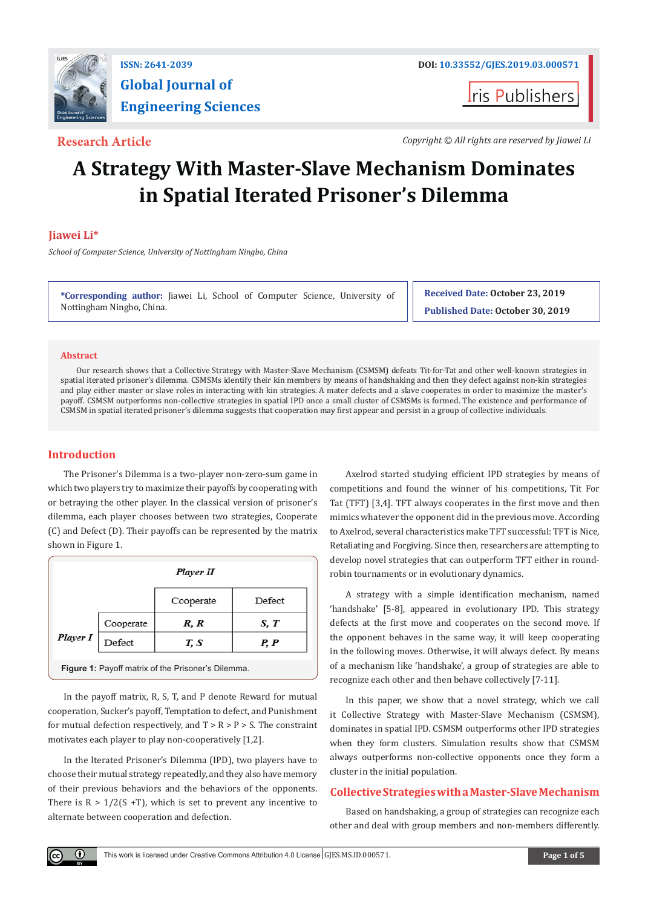

# **Global Journal of Engineering Sciences**

**I**ris Publishers

**Research Article** *Copyright © All rights are reserved by Jiawei Li*

## **A Strategy With Master-Slave Mechanism Dominates in Spatial Iterated Prisoner's Dilemma**

### **Jiawei Li\***

*School of Computer Science, University of Nottingham Ningbo, China*

**\*Corresponding author:** Jiawei Li, School of Computer Science, University of Nottingham Ningbo, China.

**Received Date: October 23, 2019 Published Date: October 30, 2019**

#### **Abstract**

Our research shows that a Collective Strategy with Master-Slave Mechanism (CSMSM) defeats Tit-for-Tat and other well-known strategies in spatial iterated prisoner's dilemma. CSMSMs identify their kin members by means of handshaking and then they defect against non-kin strategies and play either master or slave roles in interacting with kin strategies. A mater defects and a slave cooperates in order to maximize the master's payoff. CSMSM outperforms non-collective strategies in spatial IPD once a small cluster of CSMSMs is formed. The existence and performance of CSMSM in spatial iterated prisoner's dilemma suggests that cooperation may first appear and persist in a group of collective individuals.

#### **Introduction**

O.

The Prisoner's Dilemma is a two-player non-zero-sum game in which two players try to maximize their payoffs by cooperating with or betraying the other player. In the classical version of prisoner's dilemma, each player chooses between two strategies, Cooperate (C) and Defect (D). Their payoffs can be represented by the matrix shown in Figure 1.

|          | Player II |           |        |
|----------|-----------|-----------|--------|
|          |           | Cooperate | Defect |
| Player I | Cooperate | R, R      | S, T   |
|          | Defect    | T, S      | P, P   |
|          |           |           |        |

**Figure 1:** Payoff matrix of the Prisoner's Dilemma.

In the payoff matrix, R, S, T, and P denote Reward for mutual cooperation, Sucker's payoff, Temptation to defect, and Punishment for mutual defection respectively, and  $T > R > P > S$ . The constraint motivates each player to play non-cooperatively [1,2].

In the Iterated Prisoner's Dilemma (IPD), two players have to choose their mutual strategy repeatedly, and they also have memory of their previous behaviors and the behaviors of the opponents. There is  $R > 1/2(S + T)$ , which is set to prevent any incentive to alternate between cooperation and defection.

Axelrod started studying efficient IPD strategies by means of competitions and found the winner of his competitions, Tit For Tat (TFT) [3,4]. TFT always cooperates in the first move and then mimics whatever the opponent did in the previous move. According to Axelrod, several characteristics make TFT successful: TFT is Nice, Retaliating and Forgiving. Since then, researchers are attempting to develop novel strategies that can outperform TFT either in roundrobin tournaments or in evolutionary dynamics.

A strategy with a simple identification mechanism, named 'handshake' [5-8], appeared in evolutionary IPD. This strategy defects at the first move and cooperates on the second move. If the opponent behaves in the same way, it will keep cooperating in the following moves. Otherwise, it will always defect. By means of a mechanism like 'handshake', a group of strategies are able to recognize each other and then behave collectively [7-11].

In this paper, we show that a novel strategy, which we call it Collective Strategy with Master-Slave Mechanism (CSMSM), dominates in spatial IPD. CSMSM outperforms other IPD strategies when they form clusters. Simulation results show that CSMSM always outperforms non-collective opponents once they form a cluster in the initial population.

#### **Collective Strategies with a Master-Slave Mechanism**

Based on handshaking, a group of strategies can recognize each other and deal with group members and non-members differently.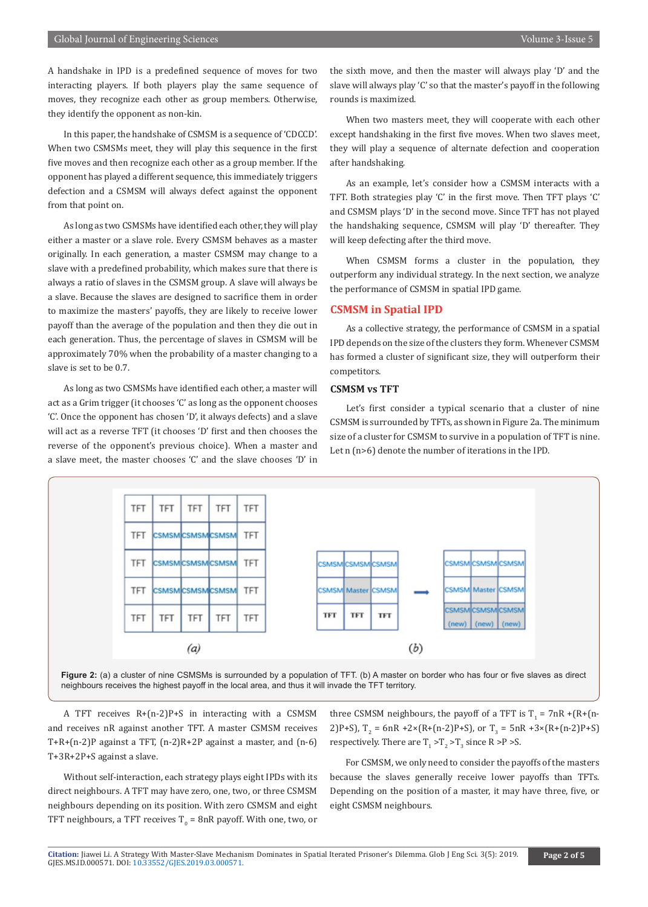A handshake in IPD is a predefined sequence of moves for two interacting players. If both players play the same sequence of moves, they recognize each other as group members. Otherwise, they identify the opponent as non-kin.

In this paper, the handshake of CSMSM is a sequence of 'CDCCD'. When two CSMSMs meet, they will play this sequence in the first five moves and then recognize each other as a group member. If the opponent has played a different sequence, this immediately triggers defection and a CSMSM will always defect against the opponent from that point on.

As long as two CSMSMs have identified each other, they will play either a master or a slave role. Every CSMSM behaves as a master originally. In each generation, a master CSMSM may change to a slave with a predefined probability, which makes sure that there is always a ratio of slaves in the CSMSM group. A slave will always be a slave. Because the slaves are designed to sacrifice them in order to maximize the masters' payoffs, they are likely to receive lower payoff than the average of the population and then they die out in each generation. Thus, the percentage of slaves in CSMSM will be approximately 70% when the probability of a master changing to a slave is set to be 0.7.

As long as two CSMSMs have identified each other, a master will act as a Grim trigger (it chooses 'C' as long as the opponent chooses 'C'. Once the opponent has chosen 'D', it always defects) and a slave will act as a reverse TFT (it chooses 'D' first and then chooses the reverse of the opponent's previous choice). When a master and a slave meet, the master chooses 'C' and the slave chooses 'D' in

the sixth move, and then the master will always play 'D' and the slave will always play 'C' so that the master's payoff in the following rounds is maximized.

When two masters meet, they will cooperate with each other except handshaking in the first five moves. When two slaves meet, they will play a sequence of alternate defection and cooperation after handshaking.

As an example, let's consider how a CSMSM interacts with a TFT. Both strategies play 'C' in the first move. Then TFT plays 'C' and CSMSM plays 'D' in the second move. Since TFT has not played the handshaking sequence, CSMSM will play 'D' thereafter. They will keep defecting after the third move.

When CSMSM forms a cluster in the population, they outperform any individual strategy. In the next section, we analyze the performance of CSMSM in spatial IPD game.

#### **CSMSM in Spatial IPD**

As a collective strategy, the performance of CSMSM in a spatial IPD depends on the size of the clusters they form. Whenever CSMSM has formed a cluster of significant size, they will outperform their competitors.

#### **CSMSM vs TFT**

Let's first consider a typical scenario that a cluster of nine CSMSM is surrounded by TFTs, as shown in Figure 2a. The minimum size of a cluster for CSMSM to survive in a population of TFT is nine. Let n (n>6) denote the number of iterations in the IPD.



**Figure 2:** (a) a cluster of nine CSMSMs is surrounded by a population of TFT. (b) A master on border who has four or five slaves as direct neighbours receives the highest payoff in the local area, and thus it will invade the TFT territory.

A TFT receives R+(n-2)P+S in interacting with a CSMSM and receives nR against another TFT. A master CSMSM receives T+R+(n-2)P against a TFT, (n-2)R+2P against a master, and (n-6) T+3R+2P+S against a slave.

Without self-interaction, each strategy plays eight IPDs with its direct neighbours. A TFT may have zero, one, two, or three CSMSM neighbours depending on its position. With zero CSMSM and eight TFT neighbours, a TFT receives  $T_{0}$  = 8nR payoff. With one, two, or three CSMSM neighbours, the payoff of a TFT is  $T_1 = 7nR + (R + (n-1)T)$ 2)P+S),  $T_2$  = 6nR +2×(R+(n-2)P+S), or  $T_3$  = 5nR +3×(R+(n-2)P+S) respectively. There are  $T_1 > T_2 > T_3$  since R  $> P > S$ .

For CSMSM, we only need to consider the payoffs of the masters because the slaves generally receive lower payoffs than TFTs. Depending on the position of a master, it may have three, five, or eight CSMSM neighbours.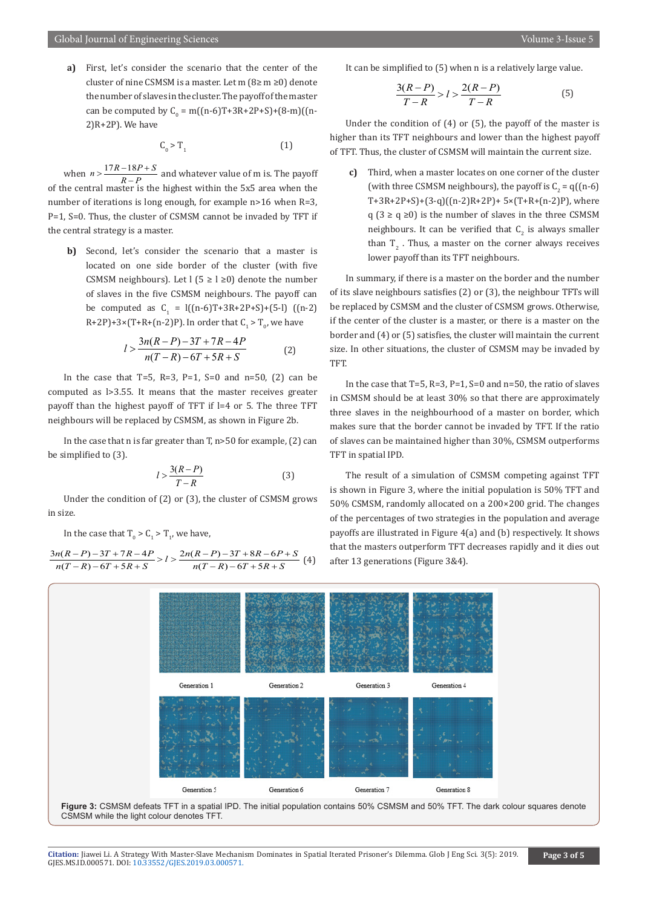**a)** First, let's consider the scenario that the center of the cluster of nine CSMSM is a master. Let m (8≥ m ≥0) denote the number of slaves in the cluster. The payoff of the master can be computed by  $C_0 = m((n-6)T+3R+2P+5)+(8-m)(n-6)$ 2)R+2P). We have

$$
C_0 > T_1 \tag{1}
$$

when  $n > \frac{17R - 18P + S}{R - P}$  and whatever value of m is. The payoff of the central master is the highest within the 5x5 area when the number of iterations is long enough, for example n>16 when R=3, P=1, S=0. Thus, the cluster of CSMSM cannot be invaded by TFT if the central strategy is a master.

**b)** Second, let's consider the scenario that a master is located on one side border of the cluster (with five CSMSM neighbours). Let  $|$  (5  $\ge$  l  $\ge$ 0) denote the number of slaves in the five CSMSM neighbours. The payoff can be computed as  $C_1 = 1((n-6)T+3R+2P+S)+(5-I)$  ((n-2) R+2PJ+3×(T+R+(n-2)P). In order that  $C_1 > T_0$ , we have

$$
l > \frac{3n(R-P) - 3T + 7R - 4P}{n(T-R) - 6T + 5R + S}
$$
 (2)

In the case that  $T=5$ ,  $R=3$ ,  $P=1$ ,  $S=0$  and  $n=50$ ,  $(2)$  can be computed as l>3.55. It means that the master receives greater payoff than the highest payoff of TFT if l=4 or 5. The three TFT neighbours will be replaced by CSMSM, as shown in Figure 2b.

In the case that n is far greater than  $T$ , n>50 for example, (2) can be simplified to (3).

$$
l > \frac{3(R - P)}{T - R}
$$
 (3)

Under the condition of (2) or (3), the cluster of CSMSM grows in size.

In the case that  $\Gamma_0 > C_1 > \Gamma_1$ , we have,

$$
\frac{3n(R-P)-3T+7R-4P}{n(T-R)-6T+5R+S} > l > \frac{2n(R-P)-3T+8R-6P+S}{n(T-R)-6T+5R+S} (4)
$$

It can be simplified to (5) when n is a relatively large value.

$$
\frac{3(R-P)}{T-R} > l > \frac{2(R-P)}{T-R}
$$
 (5)

Under the condition of (4) or (5), the payoff of the master is higher than its TFT neighbours and lower than the highest payoff of TFT. Thus, the cluster of CSMSM will maintain the current size.

**c)** Third, when a master locates on one corner of the cluster (with three CSMSM neighbours), the payoff is  $C_2 = q((n-6)$ T+3R+2P+S)+(3-q)((n-2)R+2P)+ 5×(T+R+(n-2)P), where  $q$  (3 ≥  $q \ge 0$ ) is the number of slaves in the three CSMSM neighbours. It can be verified that  $C_2$  is always smaller than  $T_2$ . Thus, a master on the corner always receives lower payoff than its TFT neighbours.

In summary, if there is a master on the border and the number of its slave neighbours satisfies (2) or (3), the neighbour TFTs will be replaced by CSMSM and the cluster of CSMSM grows. Otherwise, if the center of the cluster is a master, or there is a master on the border and (4) or (5) satisfies, the cluster will maintain the current size. In other situations, the cluster of CSMSM may be invaded by TFT.

In the case that  $T=5$ ,  $R=3$ ,  $P=1$ ,  $S=0$  and  $n=50$ , the ratio of slaves in CSMSM should be at least 30% so that there are approximately three slaves in the neighbourhood of a master on border, which makes sure that the border cannot be invaded by TFT. If the ratio of slaves can be maintained higher than 30%, CSMSM outperforms TFT in spatial IPD.

The result of a simulation of CSMSM competing against TFT is shown in Figure 3, where the initial population is 50% TFT and 50% CSMSM, randomly allocated on a 200×200 grid. The changes of the percentages of two strategies in the population and average payoffs are illustrated in Figure 4(a) and (b) respectively. It shows that the masters outperform TFT decreases rapidly and it dies out after 13 generations (Figure 3&4).



**Figure 3:** CSMSM defeats TFT in a spatial IPD. The initial population contains 50% CSMSM and 50% TFT. The dark colour squares denote CSMSM while the light colour denotes TFT.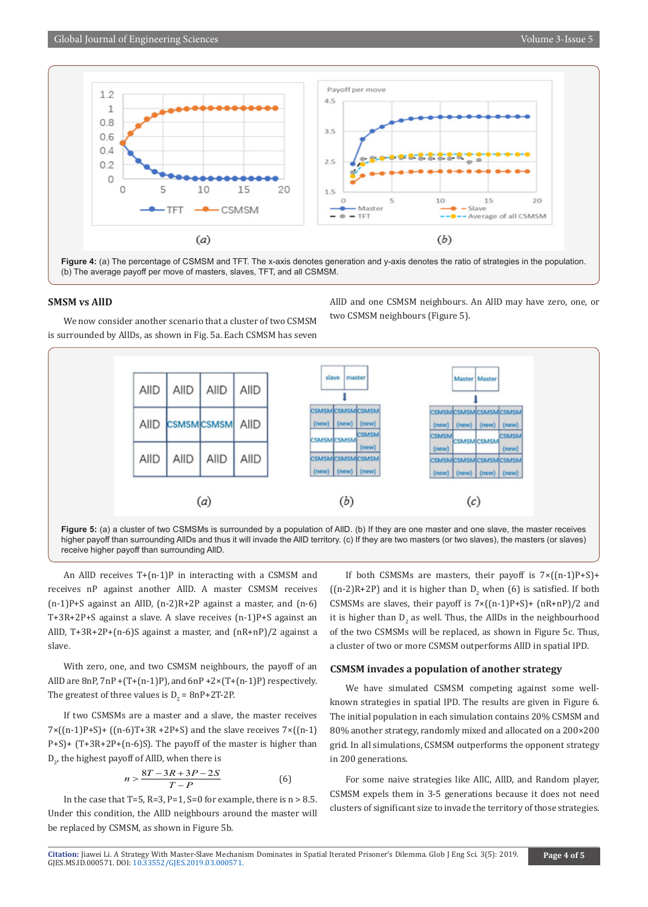

#### **SMSM vs AllD**

We now consider another scenario that a cluster of two CSMSM is surrounded by AllDs, as shown in Fig. 5a. Each CSMSM has seven



An AllD receives T+(n-1)P in interacting with a CSMSM and receives nP against another AllD. A master CSMSM receives (n-1)P+S against an AllD, (n-2)R+2P against a master, and (n-6) T+3R+2P+S against a slave. A slave receives (n-1)P+S against an AllD, T+3R+2P+(n-6)S against a master, and (nR+nP)/2 against a slave.

With zero, one, and two CSMSM neighbours, the payoff of an AllD are  $8nP$ ,  $7nP + (T+(n-1)P)$ , and  $6nP + 2\times (T+(n-1)P)$  respectively. The greatest of three values is  $D_2 = 8nP + 2T^2P$ .

If two CSMSMs are a master and a slave, the master receives  $7 \times ((n-1)P+S) + ((n-6)T+3R +2P+S)$  and the slave receives  $7 \times ((n-1)P+S)$ P+S)+ (T+3R+2P+(n-6)S). The payoff of the master is higher than  ${\rm D}_{\rm 2^{\prime}}$  the highest payoff of AllD, when there is

$$
n > \frac{8T - 3R + 3P - 2S}{T - P} \tag{6}
$$

In the case that T=5, R=3, P=1, S=0 for example, there is  $n > 8.5$ . Under this condition, the AllD neighbours around the master will be replaced by CSMSM, as shown in Figure 5b.

If both CSMSMs are masters, their payoff is  $7\times((n-1)P+S)+$ ((n-2)R+2P) and it is higher than  $D_2$  when (6) is satisfied. If both CSMSMs are slaves, their payoff is  $7 \times ((n-1)P+S) + (nR+nP)/2$  and it is higher than  $D_2$  as well. Thus, the AllDs in the neighbourhood of the two CSMSMs will be replaced, as shown in Figure 5c. Thus, a cluster of two or more CSMSM outperforms AllD in spatial IPD.

AllD and one CSMSM neighbours. An AllD may have zero, one, or

two CSMSM neighbours (Figure 5).

#### **CSMSM invades a population of another strategy**

We have simulated CSMSM competing against some wellknown strategies in spatial IPD. The results are given in Figure 6. The initial population in each simulation contains 20% CSMSM and 80% another strategy, randomly mixed and allocated on a 200×200 grid. In all simulations, CSMSM outperforms the opponent strategy in 200 generations.

For some naive strategies like AllC, AllD, and Random player, CSMSM expels them in 3-5 generations because it does not need clusters of significant size to invade the territory of those strategies.